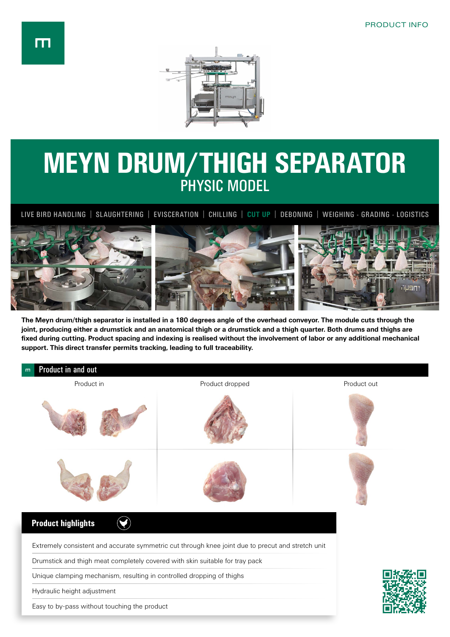

## **MEYN DRUM/THIGH SEPARATOR**  PHYSIC MODEL

LIVE BIRD HANDLING | SLAUGHTERING | EVISCERATION | CHILLING | **CUT UP** | DEBONING | WEIGHING - GRADING - LOGISTICS



**The Meyn drum/thigh separator is installed in a 180 degrees angle of the overhead conveyor. The module cuts through the joint, producing either a drumstick and an anatomical thigh or a drumstick and a thigh quarter. Both drums and thighs are fixed during cutting. Product spacing and indexing is realised without the involvement of labor or any additional mechanical support. This direct transfer permits tracking, leading to full traceability.**

| Product in and out<br>m                                                      |                                                                                                   |             |  |  |
|------------------------------------------------------------------------------|---------------------------------------------------------------------------------------------------|-------------|--|--|
| Product in                                                                   | Product dropped                                                                                   | Product out |  |  |
|                                                                              |                                                                                                   |             |  |  |
|                                                                              |                                                                                                   |             |  |  |
| <b>Product highlights</b>                                                    |                                                                                                   |             |  |  |
|                                                                              | Extremely consistent and accurate symmetric cut through knee joint due to precut and stretch unit |             |  |  |
| Drumstick and thigh meat completely covered with skin suitable for tray pack |                                                                                                   |             |  |  |
| Unique clamping mechanism, resulting in controlled dropping of thighs        |                                                                                                   |             |  |  |
| Hydraulic height adjustment                                                  |                                                                                                   |             |  |  |
| Easy to by-pass without touching the product                                 |                                                                                                   |             |  |  |